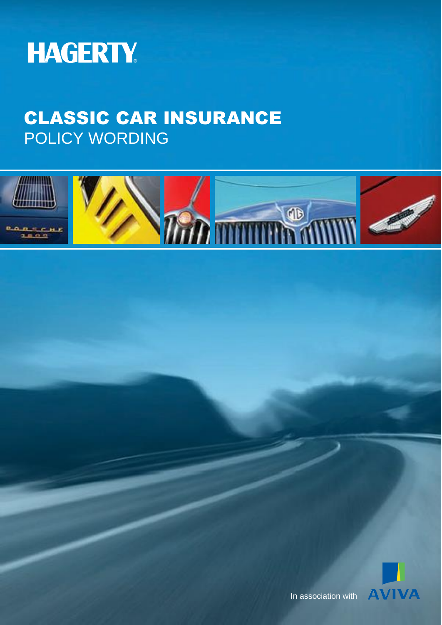

# CLASSIC CAR INSURANCE POLICY WORDING





In association with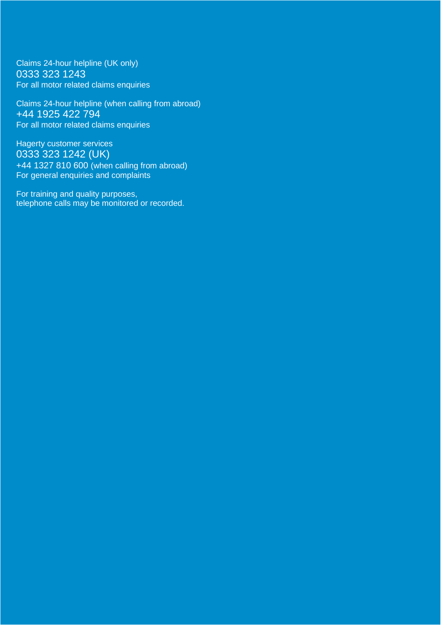Claims 24-hour helpline (UK only) 0333 323 1243 For all motor related claims enquiries

Claims 24-hour helpline (when calling from abroad) +44 1925 422 794 For all motor related claims enquiries

Hagerty customer services 0333 323 1242 (UK) +44 1327 810 600 (when calling from abroad) For general enquiries and complaints

For training and quality purposes, telephone calls may be monitored or recorded.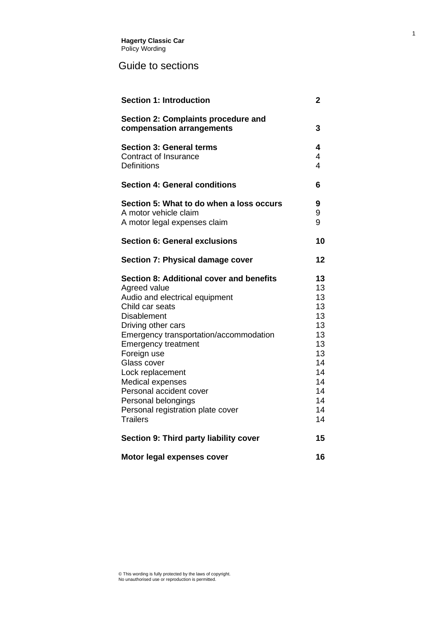#### Guide to sections

| <b>Section 1: Introduction</b>                                                                                                                                                                                                                                                                                                                                                                                    | 2                                                                                            |
|-------------------------------------------------------------------------------------------------------------------------------------------------------------------------------------------------------------------------------------------------------------------------------------------------------------------------------------------------------------------------------------------------------------------|----------------------------------------------------------------------------------------------|
| Section 2: Complaints procedure and<br>compensation arrangements                                                                                                                                                                                                                                                                                                                                                  | 3                                                                                            |
| <b>Section 3: General terms</b><br>Contract of Insurance<br><b>Definitions</b>                                                                                                                                                                                                                                                                                                                                    | 4<br>4<br>$\overline{\mathcal{A}}$                                                           |
| <b>Section 4: General conditions</b>                                                                                                                                                                                                                                                                                                                                                                              | 6                                                                                            |
| Section 5: What to do when a loss occurs<br>A motor vehicle claim<br>A motor legal expenses claim                                                                                                                                                                                                                                                                                                                 | 9<br>9<br>9                                                                                  |
| <b>Section 6: General exclusions</b>                                                                                                                                                                                                                                                                                                                                                                              | 10                                                                                           |
| Section 7: Physical damage cover                                                                                                                                                                                                                                                                                                                                                                                  | 12                                                                                           |
| Section 8: Additional cover and benefits<br>Agreed value<br>Audio and electrical equipment<br>Child car seats<br><b>Disablement</b><br>Driving other cars<br>Emergency transportation/accommodation<br><b>Emergency treatment</b><br>Foreign use<br>Glass cover<br>Lock replacement<br>Medical expenses<br>Personal accident cover<br>Personal belongings<br>Personal registration plate cover<br><b>Trailers</b> | 13<br>13<br>13<br>13<br>13<br>13<br>13<br>13<br>13<br>14<br>14<br>14<br>14<br>14<br>14<br>14 |
| Section 9: Third party liability cover                                                                                                                                                                                                                                                                                                                                                                            | 15                                                                                           |
| Motor legal expenses cover                                                                                                                                                                                                                                                                                                                                                                                        | 16                                                                                           |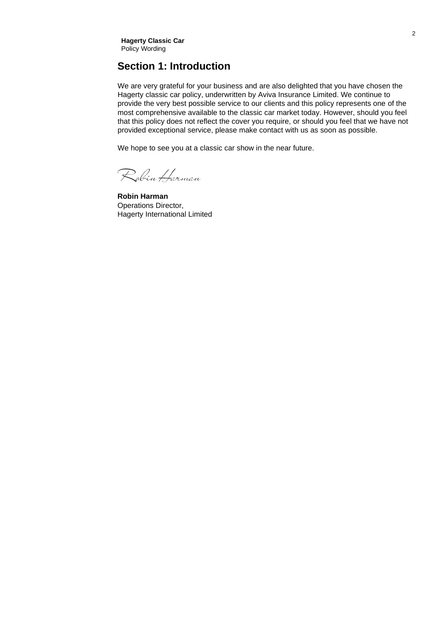#### <span id="page-3-0"></span>**Section 1: Introduction**

We are very grateful for your business and are also delighted that you have chosen the Hagerty classic car policy, underwritten by Aviva Insurance Limited. We continue to provide the very best possible service to our clients and this policy represents one of the most comprehensive available to the classic car market today. However, should you feel that this policy does not reflect the cover you require, or should you feel that we have not provided exceptional service, please make contact with us as soon as possible.

We hope to see you at a classic car show in the near future.

Robin Harman

**Robin Harman** Operations Director, Hagerty International Limited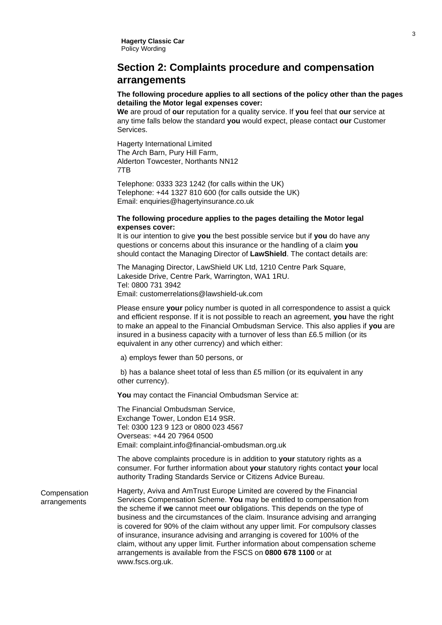#### <span id="page-4-0"></span>**Section 2: Complaints procedure and compensation arrangements**

#### **The following procedure applies to all sections of the policy other than the pages detailing the Motor legal expenses cover:**

**We** are proud of **our** reputation for a quality service. If **you** feel that **our** service at any time falls below the standard **you** would expect, please contact **our** Customer **Services** 

Hagerty International Limited The Arch Barn, Pury Hill Farm, Alderton Towcester, Northants NN12 7TB

Telephone: 0333 323 1242 (for calls within the UK) Telephone: +44 1327 810 600 (for calls outside the UK) Email: [enquiries@hagertyinsurance.co.uk](mailto:enquiries@hagertyinsurance.co.uk)

#### **The following procedure applies to the pages detailing the Motor legal expenses cover:**

It is our intention to give **you** the best possible service but if **you** do have any questions or concerns about this insurance or the handling of a claim **you** should contact the Managing Director of **LawShield**. The contact details are:

The Managing Director, LawShield UK Ltd, 1210 Centre Park Square, Lakeside Drive, Centre Park, Warrington, WA1 1RU. Tel: 0800 731 3942 Email: [customerrelations@lawshield-uk.com](mailto:customerrelations@lawshield-uk.com)

Please ensure **your** policy number is quoted in all correspondence to assist a quick and efficient response. If it is not possible to reach an agreement, **you** have the right to make an appeal to the Financial Ombudsman Service. This also applies if **you** are insured in a business capacity with a turnover of less than £6.5 million (or its equivalent in any other currency) and which either:

a) employs fewer than 50 persons, or

b) has a balance sheet total of less than £5 million (or its equivalent in any other currency).

**You** may contact the Financial Ombudsman Service at:

The Financial Ombudsman Service, Exchange Tower, London E14 9SR. Tel: 0300 123 9 123 or 0800 023 4567 Overseas: +44 20 7964 0500 Email: [complaint.info@financial-ombudsman.org.uk](mailto:complaint.info@financial-ombudsman.org.uk)

The above complaints procedure is in addition to **your** statutory rights as a consumer. For further information about **your** statutory rights contact **your** local authority Trading Standards Service or Citizens Advice Bureau.

Compensation arrangements Hagerty, Aviva and AmTrust Europe Limited are covered by the Financial Services Compensation Scheme. **You** may be entitled to compensation from the scheme if **we** cannot meet **our** obligations. This depends on the type of business and the circumstances of the claim. Insurance advising and arranging is covered for 90% of the claim without any upper limit. For compulsory classes of insurance, insurance advising and arranging is covered for 100% of the claim, without any upper limit. Further information about compensation scheme arrangements is available from the FSCS on **0800 678 1100** or at [www.fscs.org.uk.](http://www.fscs.org.uk/)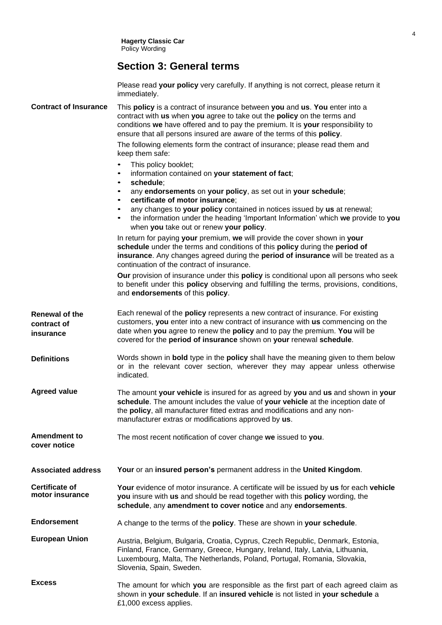#### **Section 3: General terms**

Please read **your policy** very carefully. If anything is not correct, please return it immediately.

**Contract of Insurance** This **policy** is a contract of insurance between **you** and **us**. **You** enter into a contract with **us** when **you** agree to take out the **policy** on the terms and conditions **we** have offered and to pay the premium. It is **your** responsibility to ensure that all persons insured are aware of the terms of this **policy**.

> The following elements form the contract of insurance; please read them and keep them safe:

- This policy booklet;
- information contained on **your statement of fact**;
- **schedule**;
- any **endorsements** on **your policy**, as set out in **your schedule**;
- **certificate of motor insurance**;
- any changes to **your policy** contained in notices issued by **us** at renewal;
- the information under the heading 'Important Information' which **we** provide to **you** when **you** take out or renew **your policy**.

In return for paying **your** premium, **we** will provide the cover shown in **your schedule** under the terms and conditions of this **policy** during the **period of insurance**. Any changes agreed during the **period of insurance** will be treated as a continuation of the contract of insurance.

**Our** provision of insurance under this **policy** is conditional upon all persons who seek to benefit under this **policy** observing and fulfilling the terms, provisions, conditions, and **endorsements** of this **policy**.

- **Renewal of the contract of insurance** Each renewal of the **policy** represents a new contract of insurance. For existing customers, **you** enter into a new contract of insurance with **us** commencing on the date when **you** agree to renew the **policy** and to pay the premium. **You** will be covered for the **period of insurance** shown on **your** renewal **schedule**.
- **Definitions** Words shown in **bold** type in the **policy** shall have the meaning given to them below or in the relevant cover section, wherever they may appear unless otherwise indicated.
- **Agreed value** The amount **your vehicle** is insured for as agreed by **you** and **us** and shown in **your schedule**. The amount includes the value of **your vehicle** at the inception date of the **policy**, all manufacturer fitted extras and modifications and any nonmanufacturer extras or modifications approved by **us**.

**Amendment to cover notice** The most recent notification of cover change **we** issued to **you**.

**Associated address Your** or an **insured person's** permanent address in the **United Kingdom**.

**Certificate of motor insurance Your** evidence of motor insurance. A certificate will be issued by **us** for each **vehicle you** insure with **us** and should be read together with this **policy** wording, the **schedule**, any **amendment to cover notice** and any **endorsements**.

**Endorsement** A change to the terms of the **policy**. These are shown in **your schedule**.

- **European Union** Austria, Belgium, Bulgaria, Croatia, Cyprus, Czech Republic, Denmark, Estonia, Finland, France, Germany, Greece, Hungary, Ireland, Italy, Latvia, Lithuania, Luxembourg, Malta, The Netherlands, Poland, Portugal, Romania, Slovakia, Slovenia, Spain, Sweden.
- **Excess** The amount for which **you** are responsible as the first part of each agreed claim as shown in **your schedule**. If an **insured vehicle** is not listed in **your schedule** a £1,000 excess applies.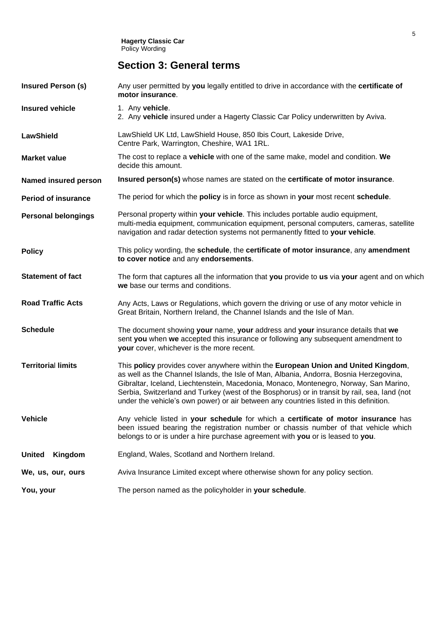**Hagerty Classic Car** Policy Wording

### **Section 3: General terms**

<span id="page-6-0"></span>

| <b>Insured Person (s)</b>  | Any user permitted by you legally entitled to drive in accordance with the certificate of<br>motor insurance.                                                                                                                                                                                                                                                                                                                                                  |
|----------------------------|----------------------------------------------------------------------------------------------------------------------------------------------------------------------------------------------------------------------------------------------------------------------------------------------------------------------------------------------------------------------------------------------------------------------------------------------------------------|
| <b>Insured vehicle</b>     | 1. Any vehicle.<br>2. Any vehicle insured under a Hagerty Classic Car Policy underwritten by Aviva.                                                                                                                                                                                                                                                                                                                                                            |
| <b>LawShield</b>           | LawShield UK Ltd, LawShield House, 850 Ibis Court, Lakeside Drive,<br>Centre Park, Warrington, Cheshire, WA1 1RL.                                                                                                                                                                                                                                                                                                                                              |
| Market value               | The cost to replace a vehicle with one of the same make, model and condition. We<br>decide this amount.                                                                                                                                                                                                                                                                                                                                                        |
| Named insured person       | Insured person(s) whose names are stated on the certificate of motor insurance.                                                                                                                                                                                                                                                                                                                                                                                |
| <b>Period of insurance</b> | The period for which the policy is in force as shown in your most recent schedule.                                                                                                                                                                                                                                                                                                                                                                             |
| <b>Personal belongings</b> | Personal property within your vehicle. This includes portable audio equipment,<br>multi-media equipment, communication equipment, personal computers, cameras, satellite<br>navigation and radar detection systems not permanently fitted to your vehicle.                                                                                                                                                                                                     |
| <b>Policy</b>              | This policy wording, the schedule, the certificate of motor insurance, any amendment<br>to cover notice and any endorsements.                                                                                                                                                                                                                                                                                                                                  |
| <b>Statement of fact</b>   | The form that captures all the information that you provide to us via your agent and on which<br>we base our terms and conditions.                                                                                                                                                                                                                                                                                                                             |
| <b>Road Traffic Acts</b>   | Any Acts, Laws or Regulations, which govern the driving or use of any motor vehicle in<br>Great Britain, Northern Ireland, the Channel Islands and the Isle of Man.                                                                                                                                                                                                                                                                                            |
| <b>Schedule</b>            | The document showing your name, your address and your insurance details that we<br>sent you when we accepted this insurance or following any subsequent amendment to<br>your cover, whichever is the more recent.                                                                                                                                                                                                                                              |
| <b>Territorial limits</b>  | This policy provides cover anywhere within the European Union and United Kingdom,<br>as well as the Channel Islands, the Isle of Man, Albania, Andorra, Bosnia Herzegovina,<br>Gibraltar, Iceland, Liechtenstein, Macedonia, Monaco, Montenegro, Norway, San Marino,<br>Serbia, Switzerland and Turkey (west of the Bosphorus) or in transit by rail, sea, land (not<br>under the vehicle's own power) or air between any countries listed in this definition. |
| <b>Vehicle</b>             | Any vehicle listed in your schedule for which a certificate of motor insurance has<br>been issued bearing the registration number or chassis number of that vehicle which<br>belongs to or is under a hire purchase agreement with you or is leased to you.                                                                                                                                                                                                    |
| <b>United</b><br>Kingdom   | England, Wales, Scotland and Northern Ireland.                                                                                                                                                                                                                                                                                                                                                                                                                 |
| We, us, our, ours          | Aviva Insurance Limited except where otherwise shown for any policy section.                                                                                                                                                                                                                                                                                                                                                                                   |
| You, your                  | The person named as the policyholder in your schedule.                                                                                                                                                                                                                                                                                                                                                                                                         |
|                            |                                                                                                                                                                                                                                                                                                                                                                                                                                                                |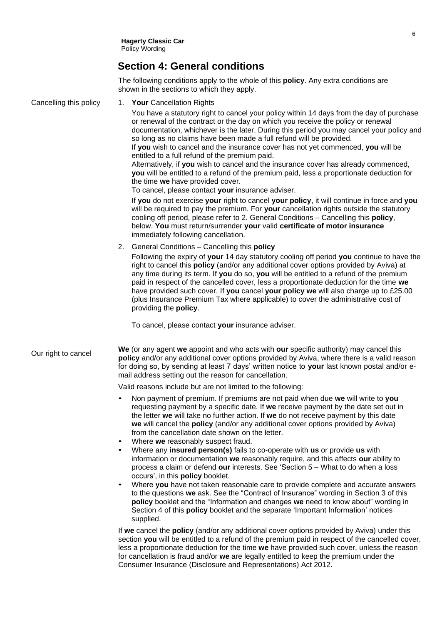#### **Section 4: General conditions**

The following conditions apply to the whole of this **policy**. Any extra conditions are shown in the sections to which they apply.

Cancelling this policy Our right to cancel 1. **Your** Cancellation Rights You have a statutory right to cancel your policy within 14 days from the day of purchase or renewal of the contract or the day on which you receive the policy or renewal documentation, whichever is the later. During this period you may cancel your policy and so long as no claims have been made a full refund will be provided. If **you** wish to cancel and the insurance cover has not yet commenced, **you** will be entitled to a full refund of the premium paid. Alternatively, if **you** wish to cancel and the insurance cover has already commenced, **you** will be entitled to a refund of the premium paid, less a proportionate deduction for the time **we** have provided cover. To cancel, please contact **your** insurance adviser. If **you** do not exercise **your** right to cancel **your policy**, it will continue in force and **you** will be required to pay the premium. For **your** cancellation rights outside the statutory cooling off period, please refer to 2. General Conditions – Cancelling this **policy**, below. **You** must return/surrender **your** valid **certificate of motor insurance**  immediately following cancellation. 2. General Conditions – Cancelling this **policy** Following the expiry of **your** 14 day statutory cooling off period **you** continue to have the right to cancel this **policy** (and/or any additional cover options provided by Aviva) at any time during its term. If **you** do so, **you** will be entitled to a refund of the premium paid in respect of the cancelled cover, less a proportionate deduction for the time **we**  have provided such cover. If **you** cancel **your policy we** will also charge up to £25.00 (plus Insurance Premium Tax where applicable) to cover the administrative cost of providing the **policy**. To cancel, please contact **your** insurance adviser. **We** (or any agent **we** appoint and who acts with **our** specific authority) may cancel this **policy** and/or any additional cover options provided by Aviva, where there is a valid reason for doing so, by sending at least 7 days' written notice to **your** last known postal and/or email address setting out the reason for cancellation. Valid reasons include but are not limited to the following: • Non payment of premium. If premiums are not paid when due **we** will write to **you** requesting payment by a specific date. If **we** receive payment by the date set out in the letter **we** will take no further action. If **we** do not receive payment by this date **we** will cancel the **policy** (and/or any additional cover options provided by Aviva) from the cancellation date shown on the letter. • Where **we** reasonably suspect fraud. • Where any **insured person(s)** fails to co-operate with **us** or provide **us** with information or documentation **we** reasonably require, and this affects **our** ability to process a claim or defend **our** interests. See 'Section 5 – What to do when a loss occurs', in this **policy** booklet. • Where **you** have not taken reasonable care to provide complete and accurate answers to the questions **we** ask. See the "Contract of Insurance" wording in Section 3 of this **policy** booklet and the "Information and changes **we** need to know about" wording in Section 4 of this **policy** booklet and the separate 'Important Information' notices supplied. If **we** cancel the **policy** (and/or any additional cover options provided by Aviva) under this section **you** will be entitled to a refund of the premium paid in respect of the cancelled cover, less a proportionate deduction for the time **we** have provided such cover, unless the reason for cancellation is fraud and/or **we** are legally entitled to keep the premium under the Consumer Insurance (Disclosure and Representations) Act 2012.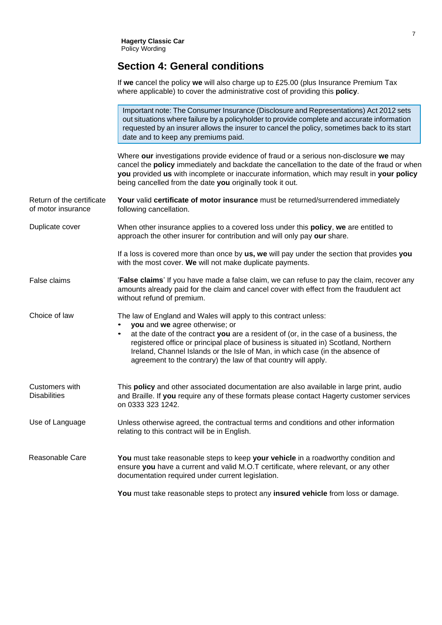**Hagerty Classic Car** Policy Wording

#### **Section 4: General conditions**

|                                                 | If we cancel the policy we will also charge up to £25.00 (plus Insurance Premium Tax<br>where applicable) to cover the administrative cost of providing this policy.                                                                                                                                                                                                                                                                                    |
|-------------------------------------------------|---------------------------------------------------------------------------------------------------------------------------------------------------------------------------------------------------------------------------------------------------------------------------------------------------------------------------------------------------------------------------------------------------------------------------------------------------------|
|                                                 | Important note: The Consumer Insurance (Disclosure and Representations) Act 2012 sets<br>out situations where failure by a policyholder to provide complete and accurate information<br>requested by an insurer allows the insurer to cancel the policy, sometimes back to its start<br>date and to keep any premiums paid.                                                                                                                             |
|                                                 | Where our investigations provide evidence of fraud or a serious non-disclosure we may<br>cancel the policy immediately and backdate the cancellation to the date of the fraud or when<br>you provided us with incomplete or inaccurate information, which may result in your policy<br>being cancelled from the date you originally took it out.                                                                                                        |
| Return of the certificate<br>of motor insurance | Your valid certificate of motor insurance must be returned/surrendered immediately<br>following cancellation.                                                                                                                                                                                                                                                                                                                                           |
| Duplicate cover                                 | When other insurance applies to a covered loss under this <b>policy</b> , we are entitled to<br>approach the other insurer for contribution and will only pay our share.                                                                                                                                                                                                                                                                                |
|                                                 | If a loss is covered more than once by us, we will pay under the section that provides you<br>with the most cover. We will not make duplicate payments.                                                                                                                                                                                                                                                                                                 |
| False claims                                    | <b>'False claims'</b> If you have made a false claim, we can refuse to pay the claim, recover any<br>amounts already paid for the claim and cancel cover with effect from the fraudulent act<br>without refund of premium.                                                                                                                                                                                                                              |
| Choice of law                                   | The law of England and Wales will apply to this contract unless:<br>you and we agree otherwise; or<br>$\bullet$<br>at the date of the contract you are a resident of (or, in the case of a business, the<br>٠<br>registered office or principal place of business is situated in) Scotland, Northern<br>Ireland, Channel Islands or the Isle of Man, in which case (in the absence of<br>agreement to the contrary) the law of that country will apply. |
| Customers with<br><b>Disabilities</b>           | This policy and other associated documentation are also available in large print, audio<br>and Braille. If you require any of these formats please contact Hagerty customer services<br>on 0333 323 1242.                                                                                                                                                                                                                                               |
| Use of Language                                 | Unless otherwise agreed, the contractual terms and conditions and other information<br>relating to this contract will be in English.                                                                                                                                                                                                                                                                                                                    |
| Reasonable Care                                 | You must take reasonable steps to keep your vehicle in a roadworthy condition and<br>ensure you have a current and valid M.O.T certificate, where relevant, or any other<br>documentation required under current legislation.                                                                                                                                                                                                                           |
|                                                 | You must take reasonable steps to protect any insured vehicle from loss or damage.                                                                                                                                                                                                                                                                                                                                                                      |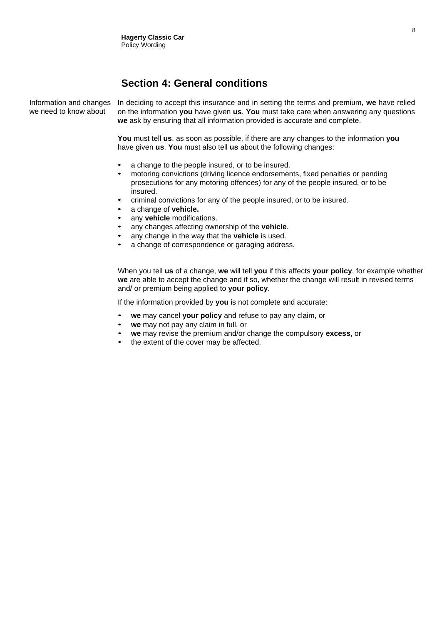#### **Section 4: General conditions**

Information and changes we need to know about

In deciding to accept this insurance and in setting the terms and premium, **we** have relied on the information **you** have given **us**. **You** must take care when answering any questions **we** ask by ensuring that all information provided is accurate and complete.

**You** must tell **us**, as soon as possible, if there are any changes to the information **you** have given **us**. **You** must also tell **us** about the following changes:

- a change to the people insured, or to be insured.
- motoring convictions (driving licence endorsements, fixed penalties or pending prosecutions for any motoring offences) for any of the people insured, or to be insured.
- criminal convictions for any of the people insured, or to be insured.
- a change of **vehicle.**
- any **vehicle** modifications.
- any changes affecting ownership of the **vehicle**.
- any change in the way that the **vehicle** is used.
- a change of correspondence or garaging address.

When you tell **us** of a change, **we** will tell **you** if this affects **your policy**, for example whether **we** are able to accept the change and if so, whether the change will result in revised terms and/ or premium being applied to **your policy**.

If the information provided by **you** is not complete and accurate:

- **we** may cancel **your policy** and refuse to pay any claim, or
- **we** may not pay any claim in full, or
- **we** may revise the premium and/or change the compulsory **excess**, or
- the extent of the cover may be affected.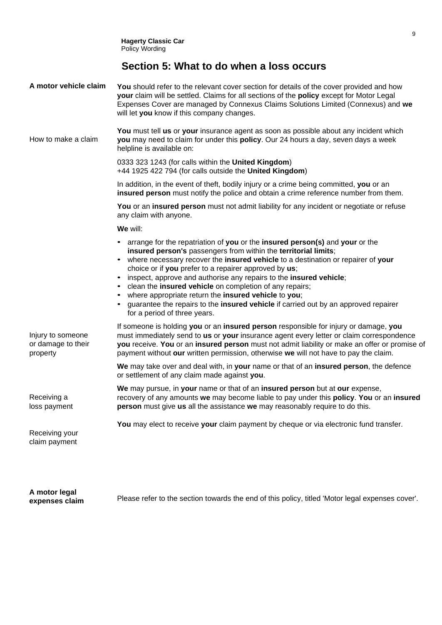#### **Section 5: What to do when a loss occurs**

<span id="page-10-0"></span>

| A motor vehicle claim                               | You should refer to the relevant cover section for details of the cover provided and how<br>your claim will be settled. Claims for all sections of the policy except for Motor Legal<br>Expenses Cover are managed by Connexus Claims Solutions Limited (Connexus) and we<br>will let you know if this company changes.                                                                                                                                                                                                                                                                                        |
|-----------------------------------------------------|----------------------------------------------------------------------------------------------------------------------------------------------------------------------------------------------------------------------------------------------------------------------------------------------------------------------------------------------------------------------------------------------------------------------------------------------------------------------------------------------------------------------------------------------------------------------------------------------------------------|
| How to make a claim                                 | You must tell us or your insurance agent as soon as possible about any incident which<br>you may need to claim for under this policy. Our 24 hours a day, seven days a week<br>helpline is available on:                                                                                                                                                                                                                                                                                                                                                                                                       |
|                                                     | 0333 323 1243 (for calls within the United Kingdom)<br>+44 1925 422 794 (for calls outside the United Kingdom)                                                                                                                                                                                                                                                                                                                                                                                                                                                                                                 |
|                                                     | In addition, in the event of theft, bodily injury or a crime being committed, you or an<br>insured person must notify the police and obtain a crime reference number from them.                                                                                                                                                                                                                                                                                                                                                                                                                                |
|                                                     | You or an insured person must not admit liability for any incident or negotiate or refuse<br>any claim with anyone.                                                                                                                                                                                                                                                                                                                                                                                                                                                                                            |
|                                                     | We will:                                                                                                                                                                                                                                                                                                                                                                                                                                                                                                                                                                                                       |
|                                                     | arrange for the repatriation of you or the insured person(s) and your or the<br>insured person's passengers from within the territorial limits;<br>• where necessary recover the insured vehicle to a destination or repairer of your<br>choice or if you prefer to a repairer approved by us;<br>inspect, approve and authorise any repairs to the insured vehicle;<br>clean the insured vehicle on completion of any repairs;<br>where appropriate return the insured vehicle to you;<br>guarantee the repairs to the insured vehicle if carried out by an approved repairer<br>for a period of three years. |
| Injury to someone<br>or damage to their<br>property | If someone is holding you or an insured person responsible for injury or damage, you<br>must immediately send to us or your insurance agent every letter or claim correspondence<br>you receive. You or an insured person must not admit liability or make an offer or promise of<br>payment without our written permission, otherwise we will not have to pay the claim.                                                                                                                                                                                                                                      |
|                                                     | We may take over and deal with, in your name or that of an insured person, the defence<br>or settlement of any claim made against you.                                                                                                                                                                                                                                                                                                                                                                                                                                                                         |
| Receiving a<br>loss payment                         | We may pursue, in your name or that of an insured person but at our expense,<br>recovery of any amounts we may become liable to pay under this policy. You or an insured<br>person must give us all the assistance we may reasonably require to do this.                                                                                                                                                                                                                                                                                                                                                       |
| Receiving your<br>claim payment                     | You may elect to receive your claim payment by cheque or via electronic fund transfer.                                                                                                                                                                                                                                                                                                                                                                                                                                                                                                                         |

**A motor legal expenses claim**

Please refer to the section towards the end of this policy, titled 'Motor legal expenses cover'.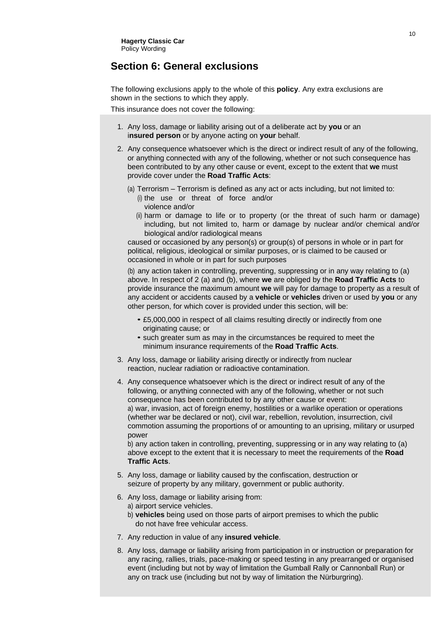#### **Section 6: General exclusions**

The following exclusions apply to the whole of this **policy**. Any extra exclusions are shown in the sections to which they apply.

This insurance does not cover the following:

- 1. Any loss, damage or liability arising out of a deliberate act by **you** or an i**nsured person** or by anyone acting on **your** behalf.
- 2. Any consequence whatsoever which is the direct or indirect result of any of the following, or anything connected with any of the following, whether or not such consequence has been contributed to by any other cause or event, except to the extent that **we** must provide cover under the **Road Traffic Acts**:
	- (a) Terrorism Terrorism is defined as any act or acts including, but not limited to:
		- (i) the use or threat of force and/or violence and/or
		- (ii) harm or damage to life or to property (or the threat of such harm or damage) including, but not limited to, harm or damage by nuclear and/or chemical and/or biological and/or radiological means

caused or occasioned by any person(s) or group(s) of persons in whole or in part for political, religious, ideological or similar purposes, or is claimed to be caused or occasioned in whole or in part for such purposes

(b) any action taken in controlling, preventing, suppressing or in any way relating to (a) above. In respect of 2 (a) and (b), where **we** are obliged by the **Road Traffic Acts** to provide insurance the maximum amount **we** will pay for damage to property as a result of any accident or accidents caused by a **vehicle** or **vehicles** driven or used by **you** or any other person, for which cover is provided under this section, will be:

- £5,000,000 in respect of all claims resulting directly or indirectly from one originating cause; or
- such greater sum as may in the circumstances be required to meet the minimum insurance requirements of the **Road Traffic Acts**.
- 3. Any loss, damage or liability arising directly or indirectly from nuclear reaction, nuclear radiation or radioactive contamination.
- 4. Any consequence whatsoever which is the direct or indirect result of any of the following, or anything connected with any of the following, whether or not such consequence has been contributed to by any other cause or event: a) war, invasion, act of foreign enemy, hostilities or a warlike operation or operations (whether war be declared or not), civil war, rebellion, revolution, insurrection, civil commotion assuming the proportions of or amounting to an uprising, military or usurped power

b) any action taken in controlling, preventing, suppressing or in any way relating to (a) above except to the extent that it is necessary to meet the requirements of the **Road Traffic Acts**.

- 5. Any loss, damage or liability caused by the confiscation, destruction or seizure of property by any military, government or public authority.
- 6. Any loss, damage or liability arising from:
	- a) airport service vehicles.
	- b) **vehicles** being used on those parts of airport premises to which the public do not have free vehicular access.
- 7. Any reduction in value of any **insured vehicle**.
- 8. Any loss, damage or liability arising from participation in or instruction or preparation for any racing, rallies, trials, pace-making or speed testing in any prearranged or organised event (including but not by way of limitation the Gumball Rally or Cannonball Run) or any on track use (including but not by way of limitation the Nürburgring).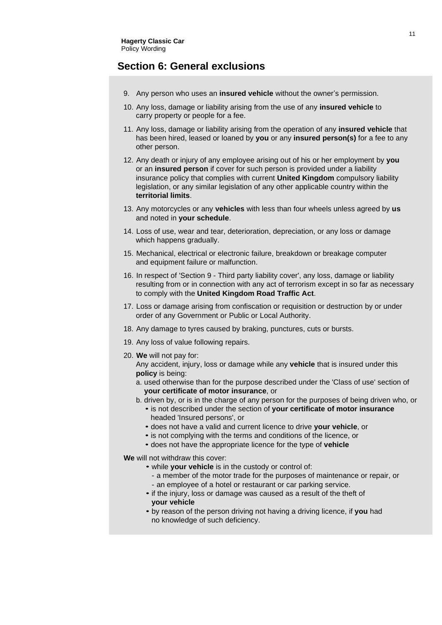#### <span id="page-12-0"></span>**Section 6: General exclusions**

- 9. Any person who uses an **insured vehicle** without the owner's permission.
- 10. Any loss, damage or liability arising from the use of any **insured vehicle** to carry property or people for a fee.
- 11. Any loss, damage or liability arising from the operation of any **insured vehicle** that has been hired, leased or loaned by **you** or any **insured person(s)** for a fee to any other person.
- 12. Any death or injury of any employee arising out of his or her employment by **you** or an **insured person** if cover for such person is provided under a liability insurance policy that complies with current **United Kingdom** compulsory liability legislation, or any similar legislation of any other applicable country within the **territorial limits**.
- 13. Any motorcycles or any **vehicles** with less than four wheels unless agreed by **us** and noted in **your schedule**.
- 14. Loss of use, wear and tear, deterioration, depreciation, or any loss or damage which happens gradually.
- 15. Mechanical, electrical or electronic failure, breakdown or breakage computer and equipment failure or malfunction.
- 16. In respect of 'Section 9 Third party liability cover', any loss, damage or liability resulting from or in connection with any act of terrorism except in so far as necessary to comply with the **United Kingdom Road Traffic Act**.
- 17. Loss or damage arising from confiscation or requisition or destruction by or under order of any Government or Public or Local Authority.
- 18. Any damage to tyres caused by braking, punctures, cuts or bursts.
- 19. Any loss of value following repairs.
- 20. **We** will not pay for:
	- Any accident, injury, loss or damage while any **vehicle** that is insured under this **policy** is being:
	- a. used otherwise than for the purpose described under the 'Class of use' section of **your certificate of motor insurance**, or
	- b. driven by, or is in the charge of any person for the purposes of being driven who, or
		- is not described under the section of **your certificate of motor insurance** headed 'Insured persons', or
		- does not have a valid and current licence to drive **your vehicle**, or
		- is not complying with the terms and conditions of the licence, or
		- does not have the appropriate licence for the type of **vehicle**

**We** will not withdraw this cover:

- while **your vehicle** is in the custody or control of:
	- a member of the motor trade for the purposes of maintenance or repair, or
	- an employee of a hotel or restaurant or car parking service.
- if the injury, loss or damage was caused as a result of the theft of **your vehicle**
- by reason of the person driving not having a driving licence, if **you** had no knowledge of such deficiency.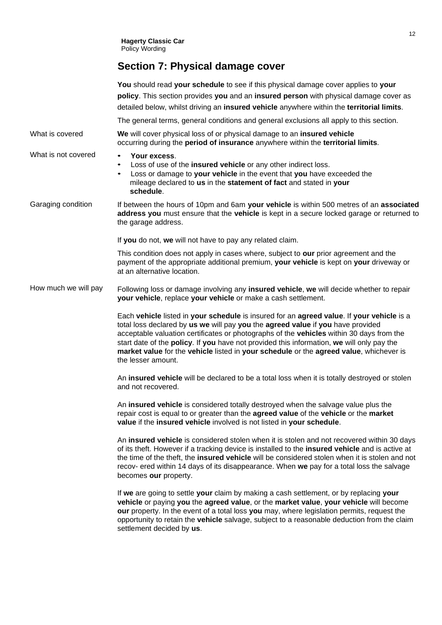## **Section 7: Physical damage cover**

<span id="page-13-0"></span>

|                      | You should read your schedule to see if this physical damage cover applies to your<br>policy. This section provides you and an insured person with physical damage cover as<br>detailed below, whilst driving an insured vehicle anywhere within the territorial limits.                                                                                                                                                                                                              |
|----------------------|---------------------------------------------------------------------------------------------------------------------------------------------------------------------------------------------------------------------------------------------------------------------------------------------------------------------------------------------------------------------------------------------------------------------------------------------------------------------------------------|
|                      | The general terms, general conditions and general exclusions all apply to this section.                                                                                                                                                                                                                                                                                                                                                                                               |
| What is covered      | We will cover physical loss of or physical damage to an insured vehicle<br>occurring during the period of insurance anywhere within the territorial limits.                                                                                                                                                                                                                                                                                                                           |
| What is not covered  | Your excess.<br>Loss of use of the insured vehicle or any other indirect loss.<br>Loss or damage to your vehicle in the event that you have exceeded the<br>mileage declared to us in the statement of fact and stated in your<br>schedule.                                                                                                                                                                                                                                           |
| Garaging condition   | If between the hours of 10pm and 6am your vehicle is within 500 metres of an associated<br>address you must ensure that the vehicle is kept in a secure locked garage or returned to<br>the garage address.                                                                                                                                                                                                                                                                           |
|                      | If you do not, we will not have to pay any related claim.                                                                                                                                                                                                                                                                                                                                                                                                                             |
|                      | This condition does not apply in cases where, subject to our prior agreement and the<br>payment of the appropriate additional premium, your vehicle is kept on your driveway or<br>at an alternative location.                                                                                                                                                                                                                                                                        |
| How much we will pay | Following loss or damage involving any insured vehicle, we will decide whether to repair<br>your vehicle, replace your vehicle or make a cash settlement.                                                                                                                                                                                                                                                                                                                             |
|                      | Each vehicle listed in your schedule is insured for an agreed value. If your vehicle is a<br>total loss declared by us we will pay you the agreed value if you have provided<br>acceptable valuation certificates or photographs of the vehicles within 30 days from the<br>start date of the policy. If you have not provided this information, we will only pay the<br>market value for the vehicle listed in your schedule or the agreed value, whichever is<br>the lesser amount. |
|                      | An insured vehicle will be declared to be a total loss when it is totally destroyed or stolen<br>and not recovered.                                                                                                                                                                                                                                                                                                                                                                   |
|                      | An insured vehicle is considered totally destroyed when the salvage value plus the<br>repair cost is equal to or greater than the agreed value of the vehicle or the market<br>value if the insured vehicle involved is not listed in your schedule.                                                                                                                                                                                                                                  |
|                      | An insured vehicle is considered stolen when it is stolen and not recovered within 30 days<br>of its theft. However if a tracking device is installed to the insured vehicle and is active at<br>the time of the theft, the insured vehicle will be considered stolen when it is stolen and not<br>recov- ered within 14 days of its disappearance. When we pay for a total loss the salvage<br>becomes our property.                                                                 |
|                      | If we are going to settle your claim by making a cash settlement, or by replacing your<br>vehicle or paying you the agreed value, or the market value, your vehicle will become<br>our property. In the event of a total loss you may, where legislation permits, request the<br>opportunity to retain the vehicle salvage, subject to a reasonable deduction from the claim<br>settlement decided by us.                                                                             |
|                      |                                                                                                                                                                                                                                                                                                                                                                                                                                                                                       |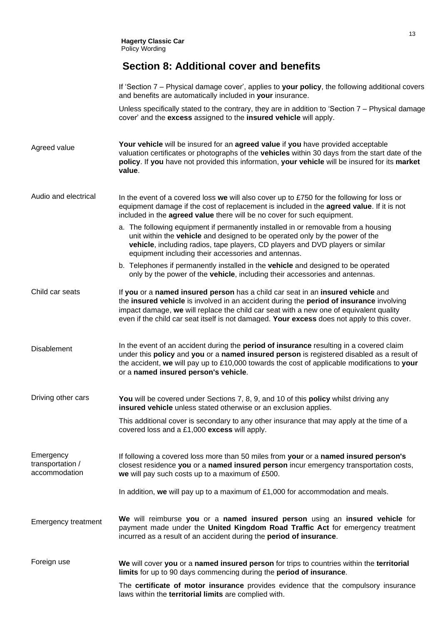### **Section 8: Additional cover and benefits**

|                                                | If 'Section 7 – Physical damage cover', applies to your policy, the following additional covers<br>and benefits are automatically included in your insurance.                                                                                                                                                                                                       |
|------------------------------------------------|---------------------------------------------------------------------------------------------------------------------------------------------------------------------------------------------------------------------------------------------------------------------------------------------------------------------------------------------------------------------|
|                                                | Unless specifically stated to the contrary, they are in addition to 'Section 7 - Physical damage<br>cover' and the excess assigned to the insured vehicle will apply.                                                                                                                                                                                               |
| Agreed value                                   | Your vehicle will be insured for an agreed value if you have provided acceptable<br>valuation certificates or photographs of the vehicles within 30 days from the start date of the<br>policy. If you have not provided this information, your vehicle will be insured for its market<br>value.                                                                     |
| Audio and electrical                           | In the event of a covered loss we will also cover up to £750 for the following for loss or<br>equipment damage if the cost of replacement is included in the agreed value. If it is not<br>included in the agreed value there will be no cover for such equipment.                                                                                                  |
|                                                | a. The following equipment if permanently installed in or removable from a housing<br>unit within the vehicle and designed to be operated only by the power of the<br>vehicle, including radios, tape players, CD players and DVD players or similar<br>equipment including their accessories and antennas.                                                         |
|                                                | b. Telephones if permanently installed in the vehicle and designed to be operated<br>only by the power of the vehicle, including their accessories and antennas.                                                                                                                                                                                                    |
| Child car seats                                | If you or a named insured person has a child car seat in an insured vehicle and<br>the insured vehicle is involved in an accident during the period of insurance involving<br>impact damage, we will replace the child car seat with a new one of equivalent quality<br>even if the child car seat itself is not damaged. Your excess does not apply to this cover. |
| <b>Disablement</b>                             | In the event of an accident during the period of insurance resulting in a covered claim<br>under this policy and you or a named insured person is registered disabled as a result of<br>the accident, we will pay up to £10,000 towards the cost of applicable modifications to your<br>or a named insured person's vehicle.                                        |
| Driving other cars                             | You will be covered under Sections 7, 8, 9, and 10 of this policy whilst driving any<br>insured vehicle unless stated otherwise or an exclusion applies.                                                                                                                                                                                                            |
|                                                | This additional cover is secondary to any other insurance that may apply at the time of a<br>covered loss and a £1,000 excess will apply.                                                                                                                                                                                                                           |
| Emergency<br>transportation /<br>accommodation | If following a covered loss more than 50 miles from your or a named insured person's<br>closest residence you or a named insured person incur emergency transportation costs,<br>we will pay such costs up to a maximum of £500.                                                                                                                                    |
|                                                | In addition, we will pay up to a maximum of $£1,000$ for accommodation and meals.                                                                                                                                                                                                                                                                                   |
| <b>Emergency treatment</b>                     | We will reimburse you or a named insured person using an insured vehicle for<br>payment made under the United Kingdom Road Traffic Act for emergency treatment<br>incurred as a result of an accident during the period of insurance.                                                                                                                               |
| Foreign use                                    | We will cover you or a named insured person for trips to countries within the territorial<br>limits for up to 90 days commencing during the period of insurance.                                                                                                                                                                                                    |
|                                                | The certificate of motor insurance provides evidence that the compulsory insurance<br>laws within the territorial limits are complied with.                                                                                                                                                                                                                         |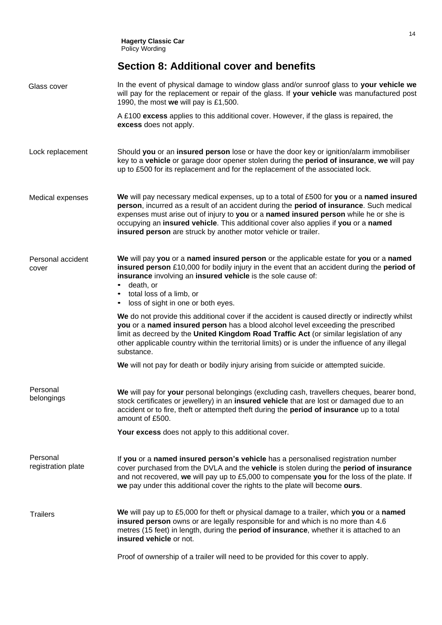### <span id="page-15-0"></span>**Section 8: Additional cover and benefits**

| Glass cover                    | In the event of physical damage to window glass and/or sunroof glass to your vehicle we<br>will pay for the replacement or repair of the glass. If your vehicle was manufactured post<br>1990, the most we will pay is £1,500.                                                                                                                                                                                                        |
|--------------------------------|---------------------------------------------------------------------------------------------------------------------------------------------------------------------------------------------------------------------------------------------------------------------------------------------------------------------------------------------------------------------------------------------------------------------------------------|
|                                | A £100 excess applies to this additional cover. However, if the glass is repaired, the<br>excess does not apply.                                                                                                                                                                                                                                                                                                                      |
| Lock replacement               | Should you or an insured person lose or have the door key or ignition/alarm immobiliser<br>key to a vehicle or garage door opener stolen during the period of insurance, we will pay<br>up to £500 for its replacement and for the replacement of the associated lock.                                                                                                                                                                |
| Medical expenses               | We will pay necessary medical expenses, up to a total of £500 for you or a named insured<br>person, incurred as a result of an accident during the period of insurance. Such medical<br>expenses must arise out of injury to you or a named insured person while he or she is<br>occupying an insured vehicle. This additional cover also applies if you or a named<br>insured person are struck by another motor vehicle or trailer. |
| Personal accident<br>cover     | We will pay you or a named insured person or the applicable estate for you or a named<br>insured person £10,000 for bodily injury in the event that an accident during the period of<br>insurance involving an insured vehicle is the sole cause of:<br>death, or<br>$\bullet$<br>• total loss of a limb, or<br>• loss of sight in one or both eyes.                                                                                  |
|                                | We do not provide this additional cover if the accident is caused directly or indirectly whilst<br>you or a named insured person has a blood alcohol level exceeding the prescribed<br>limit as decreed by the United Kingdom Road Traffic Act (or similar legislation of any<br>other applicable country within the territorial limits) or is under the influence of any illegal<br>substance.                                       |
|                                | We will not pay for death or bodily injury arising from suicide or attempted suicide.                                                                                                                                                                                                                                                                                                                                                 |
| Personal<br>belongings         | We will pay for your personal belongings (excluding cash, travellers cheques, bearer bond,<br>stock certificates or jewellery) in an insured vehicle that are lost or damaged due to an<br>accident or to fire, theft or attempted theft during the <b>period of insurance</b> up to a total<br>amount of £500.                                                                                                                       |
|                                | Your excess does not apply to this additional cover.                                                                                                                                                                                                                                                                                                                                                                                  |
| Personal<br>registration plate | If you or a named insured person's vehicle has a personalised registration number<br>cover purchased from the DVLA and the vehicle is stolen during the period of insurance<br>and not recovered, we will pay up to £5,000 to compensate you for the loss of the plate. If<br>we pay under this additional cover the rights to the plate will become ours.                                                                            |
| <b>Trailers</b>                | We will pay up to £5,000 for theft or physical damage to a trailer, which you or a named<br>insured person owns or are legally responsible for and which is no more than 4.6<br>metres (15 feet) in length, during the <b>period of insurance</b> , whether it is attached to an<br>insured vehicle or not.                                                                                                                           |
|                                | Proof of ownership of a trailer will need to be provided for this cover to apply.                                                                                                                                                                                                                                                                                                                                                     |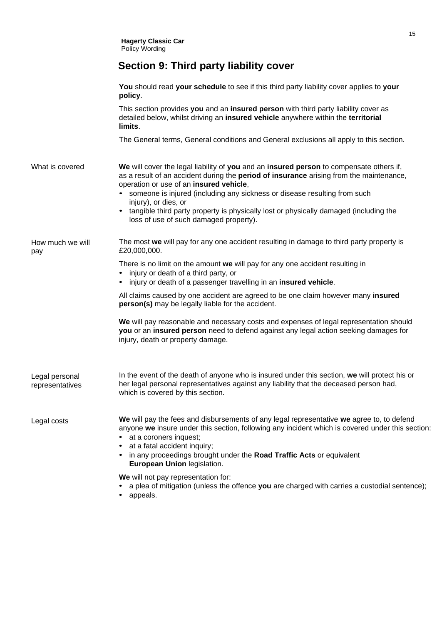### **Section 9: Third party liability cover**

<span id="page-16-0"></span>

|                                   | You should read your schedule to see if this third party liability cover applies to your<br>policy.                                                                                                                                                                                                                                                                                                                                                                     |
|-----------------------------------|-------------------------------------------------------------------------------------------------------------------------------------------------------------------------------------------------------------------------------------------------------------------------------------------------------------------------------------------------------------------------------------------------------------------------------------------------------------------------|
|                                   | This section provides you and an insured person with third party liability cover as<br>detailed below, whilst driving an insured vehicle anywhere within the territorial<br>limits.                                                                                                                                                                                                                                                                                     |
|                                   | The General terms, General conditions and General exclusions all apply to this section.                                                                                                                                                                                                                                                                                                                                                                                 |
| What is covered                   | We will cover the legal liability of you and an insured person to compensate others if,<br>as a result of an accident during the period of insurance arising from the maintenance,<br>operation or use of an insured vehicle,<br>• someone is injured (including any sickness or disease resulting from such<br>injury), or dies, or<br>tangible third party property is physically lost or physically damaged (including the<br>loss of use of such damaged property). |
| How much we will<br>pay           | The most we will pay for any one accident resulting in damage to third party property is<br>£20,000,000.                                                                                                                                                                                                                                                                                                                                                                |
|                                   | There is no limit on the amount we will pay for any one accident resulting in<br>injury or death of a third party, or<br>injury or death of a passenger travelling in an insured vehicle.                                                                                                                                                                                                                                                                               |
|                                   | All claims caused by one accident are agreed to be one claim however many insured<br>person(s) may be legally liable for the accident.                                                                                                                                                                                                                                                                                                                                  |
|                                   | We will pay reasonable and necessary costs and expenses of legal representation should<br>you or an insured person need to defend against any legal action seeking damages for<br>injury, death or property damage.                                                                                                                                                                                                                                                     |
| Legal personal<br>representatives | In the event of the death of anyone who is insured under this section, we will protect his or<br>her legal personal representatives against any liability that the deceased person had,<br>which is covered by this section.                                                                                                                                                                                                                                            |
| Legal costs                       | We will pay the fees and disbursements of any legal representative we agree to, to defend<br>anyone we insure under this section, following any incident which is covered under this section:<br>at a coroners inquest;<br>at a fatal accident inquiry;<br>in any proceedings brought under the Road Traffic Acts or equivalent<br>European Union legislation.                                                                                                          |
|                                   | We will not pay representation for:<br>a plea of mitigation (unless the offence you are charged with carries a custodial sentence);                                                                                                                                                                                                                                                                                                                                     |

• appeals.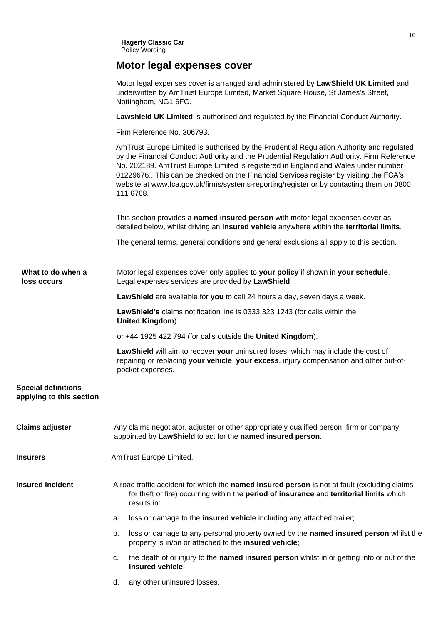### **Motor legal expenses cover**

|                                                        | Motor legal expenses cover is arranged and administered by LawShield UK Limited and<br>underwritten by AmTrust Europe Limited, Market Square House, St James's Street,<br>Nottingham, NG1 6FG.                                                                                                                                                                                                                                                                                  |
|--------------------------------------------------------|---------------------------------------------------------------------------------------------------------------------------------------------------------------------------------------------------------------------------------------------------------------------------------------------------------------------------------------------------------------------------------------------------------------------------------------------------------------------------------|
|                                                        | Lawshield UK Limited is authorised and regulated by the Financial Conduct Authority.                                                                                                                                                                                                                                                                                                                                                                                            |
|                                                        | Firm Reference No. 306793.                                                                                                                                                                                                                                                                                                                                                                                                                                                      |
|                                                        | AmTrust Europe Limited is authorised by the Prudential Regulation Authority and regulated<br>by the Financial Conduct Authority and the Prudential Regulation Authority. Firm Reference<br>No. 202189. AmTrust Europe Limited is registered in England and Wales under number<br>01229676 This can be checked on the Financial Services register by visiting the FCA's<br>website at www.fca.gov.uk/firms/systems-reporting/register or by contacting them on 0800<br>111 6768. |
|                                                        | This section provides a named insured person with motor legal expenses cover as<br>detailed below, whilst driving an insured vehicle anywhere within the territorial limits.                                                                                                                                                                                                                                                                                                    |
|                                                        | The general terms, general conditions and general exclusions all apply to this section.                                                                                                                                                                                                                                                                                                                                                                                         |
| What to do when a<br>loss occurs                       | Motor legal expenses cover only applies to your policy if shown in your schedule.<br>Legal expenses services are provided by LawShield.                                                                                                                                                                                                                                                                                                                                         |
|                                                        | LawShield are available for you to call 24 hours a day, seven days a week.                                                                                                                                                                                                                                                                                                                                                                                                      |
|                                                        | LawShield's claims notification line is 0333 323 1243 (for calls within the<br><b>United Kingdom)</b>                                                                                                                                                                                                                                                                                                                                                                           |
|                                                        | or +44 1925 422 794 (for calls outside the United Kingdom).                                                                                                                                                                                                                                                                                                                                                                                                                     |
|                                                        | LawShield will aim to recover your uninsured loses, which may include the cost of<br>repairing or replacing your vehicle, your excess, injury compensation and other out-of-<br>pocket expenses.                                                                                                                                                                                                                                                                                |
| <b>Special definitions</b><br>applying to this section |                                                                                                                                                                                                                                                                                                                                                                                                                                                                                 |
| <b>Claims adjuster</b>                                 | Any claims negotiator, adjuster or other appropriately qualified person, firm or company<br>appointed by LawShield to act for the named insured person.                                                                                                                                                                                                                                                                                                                         |
| <b>Insurers</b>                                        | AmTrust Europe Limited.                                                                                                                                                                                                                                                                                                                                                                                                                                                         |
| <b>Insured incident</b>                                | A road traffic accident for which the named insured person is not at fault (excluding claims<br>for theft or fire) occurring within the period of insurance and territorial limits which<br>results in:                                                                                                                                                                                                                                                                         |
|                                                        | loss or damage to the <b>insured vehicle</b> including any attached trailer;<br>a.                                                                                                                                                                                                                                                                                                                                                                                              |
|                                                        | loss or damage to any personal property owned by the named insured person whilst the<br>b.<br>property is in/on or attached to the insured vehicle;                                                                                                                                                                                                                                                                                                                             |
|                                                        | the death of or injury to the named insured person whilst in or getting into or out of the<br>c.<br>insured vehicle;                                                                                                                                                                                                                                                                                                                                                            |
|                                                        | any other uninsured losses.<br>d.                                                                                                                                                                                                                                                                                                                                                                                                                                               |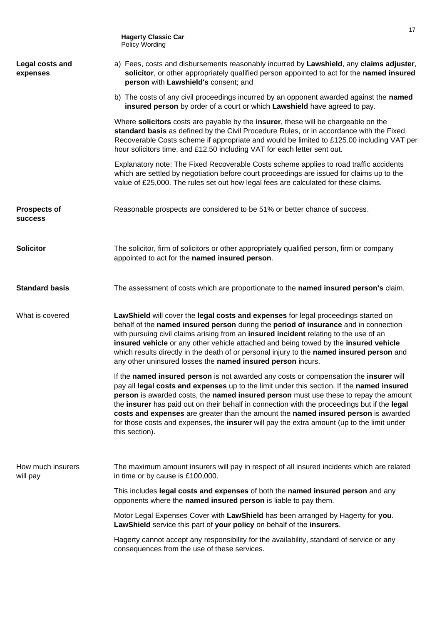**Hagerty Classic Car** Policy Wording **Legal costs and expenses** a) Fees, costs and disbursements reasonably incurred by **Lawshield**, any **claims adjuster**, **solicitor**, or other appropriately qualified person appointed to act for the **named insured person** with **Lawshield's** consent; and b) The costs of any civil proceedings incurred by an opponent awarded against the **named insured person** by order of a court or which **Lawshield** have agreed to pay. Where **solicitors** costs are payable by the **insurer**, these will be chargeable on the **standard basis** as defined by the Civil Procedure Rules, or in accordance with the Fixed Recoverable Costs scheme if appropriate and would be limited to  $£125.00$  including VAT per hour solicitors time, and £12.50 including VAT for each letter sent out. Explanatory note: The Fixed Recoverable Costs scheme applies to road traffic accidents which are settled by negotiation before court proceedings are issued for claims up to the value of £25,000. The rules set out how legal fees are calculated for these claims. **Prospects of success**  Reasonable prospects are considered to be 51% or better chance of success. **Solicitor** The solicitor, firm of solicitors or other appropriately qualified person, firm or company appointed to act for the **named insured person**. **Standard basis** The assessment of costs which are proportionate to the **named insured person's** claim. What is covered **LawShield** will cover the **legal costs and expenses** for legal proceedings started on behalf of the **named insured person** during the **period of insurance** and in connection with pursuing civil claims arising from an **insured incident** relating to the use of an **insured vehicle** or any other vehicle attached and being towed by the **insured vehicle** which results directly in the death of or personal injury to the **named insured person** and any other uninsured losses the **named insured person** incurs. If the **named insured person** is not awarded any costs or compensation the **insurer** will pay all **legal costs and expenses** up to the limit under this section. If the **named insured person** is awarded costs, the **named insured person** must use these to repay the amount the **insurer** has paid out on their behalf in connection with the proceedings but if the **legal costs and expenses** are greater than the amount the **named insured person** is awarded for those costs and expenses, the **insurer** will pay the extra amount (up to the limit under this section). How much insurers will pay The maximum amount insurers will pay in respect of all insured incidents which are related in time or by cause is £100,000. This includes **legal costs and expenses** of both the **named insured person** and any opponents where the **named insured person** is liable to pay them. Motor Legal Expenses Cover with **LawShield** has been arranged by Hagerty for **you**. **LawShield** service this part of **your policy** on behalf of the **insurers**. Hagerty cannot accept any responsibility for the availability, standard of service or any consequences from the use of these services.

17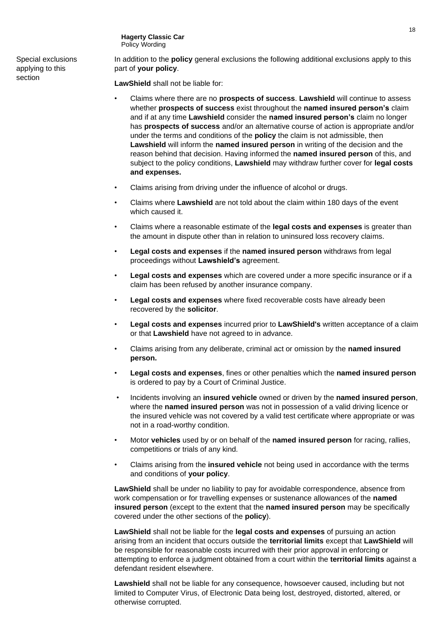**Hagerty Classic Car** Policy Wording

Special exclusions applying to this section

In addition to the **policy** general exclusions the following additional exclusions apply to this part of **your policy**.

**LawShield** shall not be liable for:

- Claims where there are no **prospects of success**. **Lawshield** will continue to assess whether **prospects of success** exist throughout the **named insured person's** claim and if at any time **Lawshield** consider the **named insured person's** claim no longer has **prospects of success** and/or an alternative course of action is appropriate and/or under the terms and conditions of the **policy** the claim is not admissible, then **Lawshield** will inform the **named insured person** in writing of the decision and the reason behind that decision. Having informed the **named insured person** of this, and subject to the policy conditions, **Lawshield** may withdraw further cover for **legal costs and expenses.**
- Claims arising from driving under the influence of alcohol or drugs.
- Claims where **Lawshield** are not told about the claim within 180 days of the event which caused it.
- Claims where a reasonable estimate of the **legal costs and expenses** is greater than the amount in dispute other than in relation to uninsured loss recovery claims.
- **Legal costs and expenses** if the **named insured person** withdraws from legal proceedings without **Lawshield's** agreement.
- **Legal costs and expenses** which are covered under a more specific insurance or if a claim has been refused by another insurance company.
- **Legal costs and expenses** where fixed recoverable costs have already been recovered by the **solicitor**.
- **Legal costs and expenses** incurred prior to **LawShield's** written acceptance of a claim or that **Lawshield** have not agreed to in advance.
- Claims arising from any deliberate, criminal act or omission by the **named insured person.**
- **Legal costs and expenses**, fines or other penalties which the **named insured person** is ordered to pay by a Court of Criminal Justice.
- Incidents involving an **insured vehicle** owned or driven by the **named insured person**, where the **named insured person** was not in possession of a valid driving licence or the insured vehicle was not covered by a valid test certificate where appropriate or was not in a road-worthy condition.
- Motor **vehicles** used by or on behalf of the **named insured person** for racing, rallies, competitions or trials of any kind.
- Claims arising from the **insured vehicle** not being used in accordance with the terms and conditions of **your policy**.

**LawShield** shall be under no liability to pay for avoidable correspondence, absence from work compensation or for travelling expenses or sustenance allowances of the **named insured person** (except to the extent that the **named insured person** may be specifically covered under the other sections of the **policy**).

**LawShield** shall not be liable for the **legal costs and expenses** of pursuing an action arising from an incident that occurs outside the **territorial limits** except that **LawShield** will be responsible for reasonable costs incurred with their prior approval in enforcing or attempting to enforce a judgment obtained from a court within the **territorial limits** against a defendant resident elsewhere.

**Lawshield** shall not be liable for any consequence, howsoever caused, including but not limited to Computer Virus, of Electronic Data being lost, destroyed, distorted, altered, or otherwise corrupted.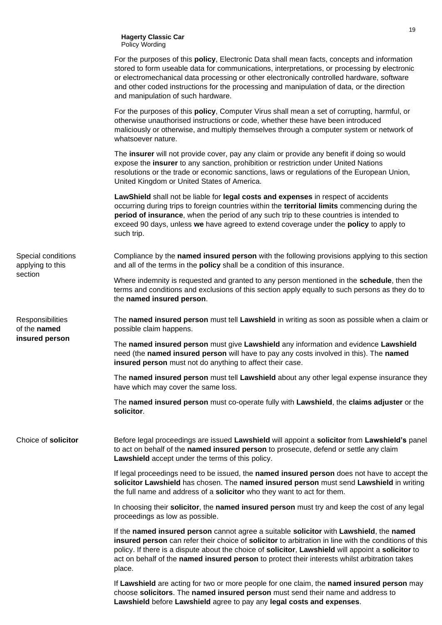**Hagerty Classic Car** Policy Wording

|                                                    | For the purposes of this <b>policy</b> , Electronic Data shall mean facts, concepts and information<br>stored to form useable data for communications, interpretations, or processing by electronic<br>or electromechanical data processing or other electronically controlled hardware, software<br>and other coded instructions for the processing and manipulation of data, or the direction<br>and manipulation of such hardware. |
|----------------------------------------------------|---------------------------------------------------------------------------------------------------------------------------------------------------------------------------------------------------------------------------------------------------------------------------------------------------------------------------------------------------------------------------------------------------------------------------------------|
|                                                    | For the purposes of this <b>policy</b> , Computer Virus shall mean a set of corrupting, harmful, or<br>otherwise unauthorised instructions or code, whether these have been introduced<br>maliciously or otherwise, and multiply themselves through a computer system or network of<br>whatsoever nature.                                                                                                                             |
|                                                    | The insurer will not provide cover, pay any claim or provide any benefit if doing so would<br>expose the insurer to any sanction, prohibition or restriction under United Nations<br>resolutions or the trade or economic sanctions, laws or regulations of the European Union,<br>United Kingdom or United States of America.                                                                                                        |
|                                                    | LawShield shall not be liable for legal costs and expenses in respect of accidents<br>occurring during trips to foreign countries within the territorial limits commencing during the<br>period of insurance, when the period of any such trip to these countries is intended to<br>exceed 90 days, unless we have agreed to extend coverage under the policy to apply to<br>such trip.                                               |
| Special conditions<br>applying to this             | Compliance by the named insured person with the following provisions applying to this section<br>and all of the terms in the <b>policy</b> shall be a condition of this insurance.                                                                                                                                                                                                                                                    |
| section                                            | Where indemnity is requested and granted to any person mentioned in the <b>schedule</b> , then the<br>terms and conditions and exclusions of this section apply equally to such persons as they do to<br>the named insured person.                                                                                                                                                                                                    |
| Responsibilities<br>of the named<br>insured person | The named insured person must tell Lawshield in writing as soon as possible when a claim or<br>possible claim happens.                                                                                                                                                                                                                                                                                                                |
|                                                    | The named insured person must give Lawshield any information and evidence Lawshield<br>need (the named insured person will have to pay any costs involved in this). The named<br>insured person must not do anything to affect their case.                                                                                                                                                                                            |
|                                                    | The named insured person must tell Lawshield about any other legal expense insurance they<br>have which may cover the same loss.                                                                                                                                                                                                                                                                                                      |
|                                                    | The named insured person must co-operate fully with Lawshield, the claims adjuster or the<br>solicitor.                                                                                                                                                                                                                                                                                                                               |
| Choice of solicitor                                | Before legal proceedings are issued Lawshield will appoint a solicitor from Lawshield's panel<br>to act on behalf of the named insured person to prosecute, defend or settle any claim<br>Lawshield accept under the terms of this policy.                                                                                                                                                                                            |
|                                                    | If legal proceedings need to be issued, the named insured person does not have to accept the<br>solicitor Lawshield has chosen. The named insured person must send Lawshield in writing<br>the full name and address of a solicitor who they want to act for them.                                                                                                                                                                    |
|                                                    | In choosing their solicitor, the named insured person must try and keep the cost of any legal<br>proceedings as low as possible.                                                                                                                                                                                                                                                                                                      |
|                                                    | If the named insured person cannot agree a suitable solicitor with Lawshield, the named<br>insured person can refer their choice of solicitor to arbitration in line with the conditions of this<br>policy. If there is a dispute about the choice of solicitor, Lawshield will appoint a solicitor to<br>act on behalf of the named insured person to protect their interests whilst arbitration takes<br>place.                     |
|                                                    | If Lawshield are acting for two or more people for one claim, the named insured person may<br>choose solicitors. The named insured person must send their name and address to<br>Lawshield before Lawshield agree to pay any legal costs and expenses.                                                                                                                                                                                |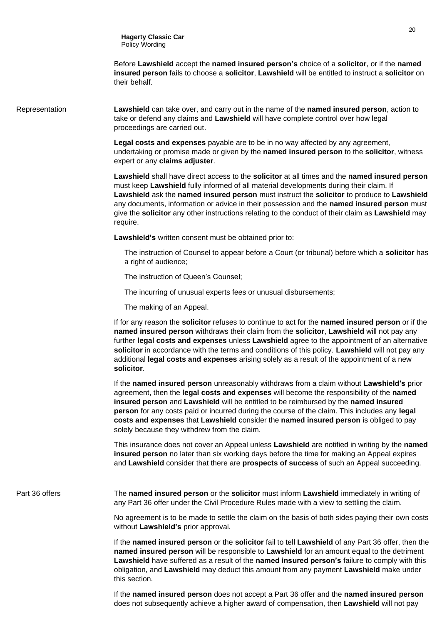Before **Lawshield** accept the **named insured person's** choice of a **solicitor**, or if the **named insured person** fails to choose a **solicitor**, **Lawshield** will be entitled to instruct a **solicitor** on their behalf.

Representation **Lawshield** can take over, and carry out in the name of the **named insured person**, action to take or defend any claims and **Lawshield** will have complete control over how legal proceedings are carried out.

> **Legal costs and expenses** payable are to be in no way affected by any agreement, undertaking or promise made or given by the **named insured person** to the **solicitor**, witness expert or any **claims adjuster**.

**Lawshield** shall have direct access to the **solicitor** at all times and the **named insured person** must keep **Lawshield** fully informed of all material developments during their claim. If **Lawshield** ask the **named insured person** must instruct the **solicitor** to produce to **Lawshield** any documents, information or advice in their possession and the **named insured person** must give the **solicitor** any other instructions relating to the conduct of their claim as **Lawshield** may require.

**Lawshield's** written consent must be obtained prior to:

The instruction of Counsel to appear before a Court (or tribunal) before which a **solicitor** has a right of audience;

The instruction of Queen's Counsel;

The incurring of unusual experts fees or unusual disbursements;

The making of an Appeal.

If for any reason the **solicitor** refuses to continue to act for the **named insured person** or if the **named insured person** withdraws their claim from the **solicitor**, **Lawshield** will not pay any further **legal costs and expenses** unless **Lawshield** agree to the appointment of an alternative **solicitor** in accordance with the terms and conditions of this policy. **Lawshield** will not pay any additional **legal costs and expenses** arising solely as a result of the appointment of a new **solicitor**.

If the **named insured person** unreasonably withdraws from a claim without **Lawshield's** prior agreement, then the **legal costs and expenses** will become the responsibility of the **named insured person** and **Lawshield** will be entitled to be reimbursed by the **named insured person** for any costs paid or incurred during the course of the claim. This includes any **legal costs and expenses** that **Lawshield** consider the **named insured person** is obliged to pay solely because they withdrew from the claim.

This insurance does not cover an Appeal unless **Lawshield** are notified in writing by the **named insured person** no later than six working days before the time for making an Appeal expires and **Lawshield** consider that there are **prospects of success** of such an Appeal succeeding.

Part 36 offers The **named insured person** or the **solicitor** must inform **Lawshield** immediately in writing of any Part 36 offer under the Civil Procedure Rules made with a view to settling the claim.

> No agreement is to be made to settle the claim on the basis of both sides paying their own costs without **Lawshield's** prior approval.

> If the **named insured person** or the **solicitor** fail to tell **Lawshield** of any Part 36 offer, then the **named insured person** will be responsible to **Lawshield** for an amount equal to the detriment **Lawshield** have suffered as a result of the **named insured person's** failure to comply with this obligation, and **Lawshield** may deduct this amount from any payment **Lawshield** make under this section.

If the **named insured person** does not accept a Part 36 offer and the **named insured person** does not subsequently achieve a higher award of compensation, then **Lawshield** will not pay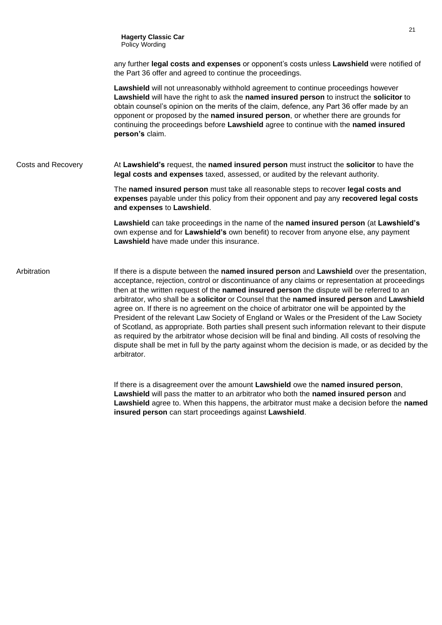any further **legal costs and expenses** or opponent's costs unless **Lawshield** were notified of the Part 36 offer and agreed to continue the proceedings.

**Lawshield** will not unreasonably withhold agreement to continue proceedings however **Lawshield** will have the right to ask the **named insured person** to instruct the **solicitor** to obtain counsel's opinion on the merits of the claim, defence, any Part 36 offer made by an opponent or proposed by the **named insured person**, or whether there are grounds for continuing the proceedings before **Lawshield** agree to continue with the **named insured person's** claim.

Costs and Recovery At **Lawshield's** request, the **named insured person** must instruct the **solicitor** to have the **legal costs and expenses** taxed, assessed, or audited by the relevant authority.

> The **named insured person** must take all reasonable steps to recover **legal costs and expenses** payable under this policy from their opponent and pay any **recovered legal costs and expenses** to **Lawshield**.

> **Lawshield** can take proceedings in the name of the **named insured person** (at **Lawshield's** own expense and for **Lawshield's** own benefit) to recover from anyone else, any payment **Lawshield** have made under this insurance.

Arbitration **If there is a dispute between the named insured person** and **Lawshield** over the presentation, acceptance, rejection, control or discontinuance of any claims or representation at proceedings then at the written request of the **named insured person** the dispute will be referred to an arbitrator, who shall be a **solicitor** or Counsel that the **named insured person** and **Lawshield** agree on. If there is no agreement on the choice of arbitrator one will be appointed by the President of the relevant Law Society of England or Wales or the President of the Law Society of Scotland, as appropriate. Both parties shall present such information relevant to their dispute as required by the arbitrator whose decision will be final and binding. All costs of resolving the dispute shall be met in full by the party against whom the decision is made, or as decided by the arbitrator.

> If there is a disagreement over the amount **Lawshield** owe the **named insured person**, **Lawshield** will pass the matter to an arbitrator who both the **named insured person** and **Lawshield** agree to. When this happens, the arbitrator must make a decision before the **named insured person** can start proceedings against **Lawshield**.